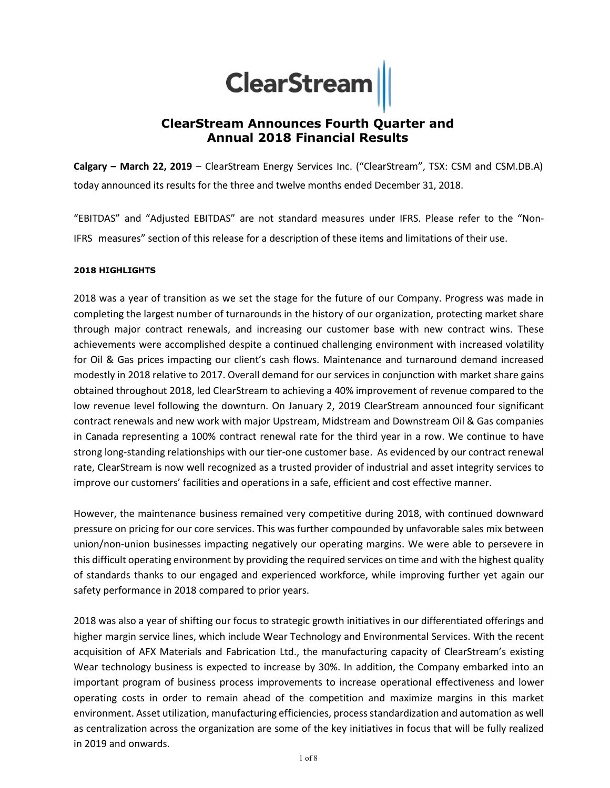# **ClearStream**

## ClearStream Announces Fourth Quarter and Annual 2018 Financial Results

Calgary – March 22, 2019 – ClearStream Energy Services Inc. ("ClearStream", TSX: CSM and CSM.DB.A) today announced its results for the three and twelve months ended December 31, 2018.

"EBITDAS" and "Adjusted EBITDAS" are not standard measures under IFRS. Please refer to the "Non-IFRS measures" section of this release for a description of these items and limitations of their use.

#### 2018 HIGHLIGHTS

2018 was a year of transition as we set the stage for the future of our Company. Progress was made in completing the largest number of turnarounds in the history of our organization, protecting market share through major contract renewals, and increasing our customer base with new contract wins. These achievements were accomplished despite a continued challenging environment with increased volatility for Oil & Gas prices impacting our client's cash flows. Maintenance and turnaround demand increased modestly in 2018 relative to 2017. Overall demand for our services in conjunction with market share gains obtained throughout 2018, led ClearStream to achieving a 40% improvement of revenue compared to the low revenue level following the downturn. On January 2, 2019 ClearStream announced four significant contract renewals and new work with major Upstream, Midstream and Downstream Oil & Gas companies in Canada representing a 100% contract renewal rate for the third year in a row. We continue to have strong long-standing relationships with our tier-one customer base. As evidenced by our contract renewal rate, ClearStream is now well recognized as a trusted provider of industrial and asset integrity services to improve our customers' facilities and operations in a safe, efficient and cost effective manner.

However, the maintenance business remained very competitive during 2018, with continued downward pressure on pricing for our core services. This was further compounded by unfavorable sales mix between union/non-union businesses impacting negatively our operating margins. We were able to persevere in this difficult operating environment by providing the required services on time and with the highest quality of standards thanks to our engaged and experienced workforce, while improving further yet again our safety performance in 2018 compared to prior years.

2018 was also a year of shifting our focus to strategic growth initiatives in our differentiated offerings and higher margin service lines, which include Wear Technology and Environmental Services. With the recent acquisition of AFX Materials and Fabrication Ltd., the manufacturing capacity of ClearStream's existing Wear technology business is expected to increase by 30%. In addition, the Company embarked into an important program of business process improvements to increase operational effectiveness and lower operating costs in order to remain ahead of the competition and maximize margins in this market environment. Asset utilization, manufacturing efficiencies, process standardization and automation as well as centralization across the organization are some of the key initiatives in focus that will be fully realized in 2019 and onwards.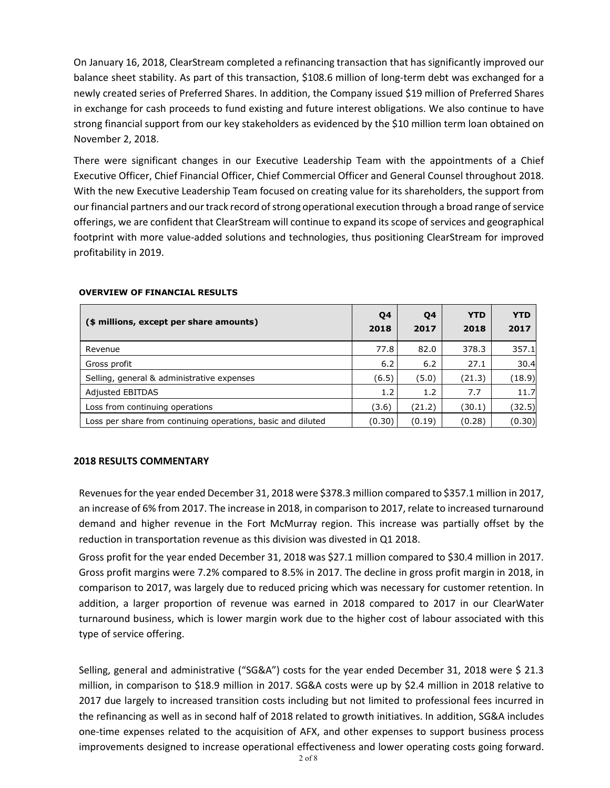On January 16, 2018, ClearStream completed a refinancing transaction that has significantly improved our balance sheet stability. As part of this transaction, \$108.6 million of long-term debt was exchanged for a newly created series of Preferred Shares. In addition, the Company issued \$19 million of Preferred Shares in exchange for cash proceeds to fund existing and future interest obligations. We also continue to have strong financial support from our key stakeholders as evidenced by the \$10 million term loan obtained on November 2, 2018.

There were significant changes in our Executive Leadership Team with the appointments of a Chief Executive Officer, Chief Financial Officer, Chief Commercial Officer and General Counsel throughout 2018. With the new Executive Leadership Team focused on creating value for its shareholders, the support from our financial partners and our track record of strong operational execution through a broad range of service offerings, we are confident that ClearStream will continue to expand its scope of services and geographical footprint with more value-added solutions and technologies, thus positioning ClearStream for improved profitability in 2019.

| (\$ millions, except per share amounts)                      | Q4<br>2018 | <b>04</b><br>2017 | <b>YTD</b><br>2018 | <b>YTD</b><br>2017 |
|--------------------------------------------------------------|------------|-------------------|--------------------|--------------------|
| Revenue                                                      | 77.8       | 82.0              | 378.3              | 357.1              |
| Gross profit                                                 | 6.2        | 6.2               | 27.1               | 30.4               |
| Selling, general & administrative expenses                   | (6.5)      | (5.0)             | (21.3)             | (18.9)             |
| <b>Adjusted EBITDAS</b>                                      | 1.2        | 1.2               | 7.7                | 11.7               |
| Loss from continuing operations                              | (3.6)      | (21.2)            | (30.1)             | (32.5)             |
| Loss per share from continuing operations, basic and diluted | (0.30)     | (0.19)            | (0.28)             | (0.30)             |

#### OVERVIEW OF FINANCIAL RESULTS

#### 2018 RESULTS COMMENTARY

Revenues for the year ended December 31, 2018 were \$378.3 million compared to \$357.1 million in 2017, an increase of 6% from 2017. The increase in 2018, in comparison to 2017, relate to increased turnaround demand and higher revenue in the Fort McMurray region. This increase was partially offset by the reduction in transportation revenue as this division was divested in Q1 2018.

Gross profit for the year ended December 31, 2018 was \$27.1 million compared to \$30.4 million in 2017. Gross profit margins were 7.2% compared to 8.5% in 2017. The decline in gross profit margin in 2018, in comparison to 2017, was largely due to reduced pricing which was necessary for customer retention. In addition, a larger proportion of revenue was earned in 2018 compared to 2017 in our ClearWater turnaround business, which is lower margin work due to the higher cost of labour associated with this type of service offering.

Selling, general and administrative ("SG&A") costs for the year ended December 31, 2018 were \$ 21.3 million, in comparison to \$18.9 million in 2017. SG&A costs were up by \$2.4 million in 2018 relative to 2017 due largely to increased transition costs including but not limited to professional fees incurred in the refinancing as well as in second half of 2018 related to growth initiatives. In addition, SG&A includes one-time expenses related to the acquisition of AFX, and other expenses to support business process improvements designed to increase operational effectiveness and lower operating costs going forward.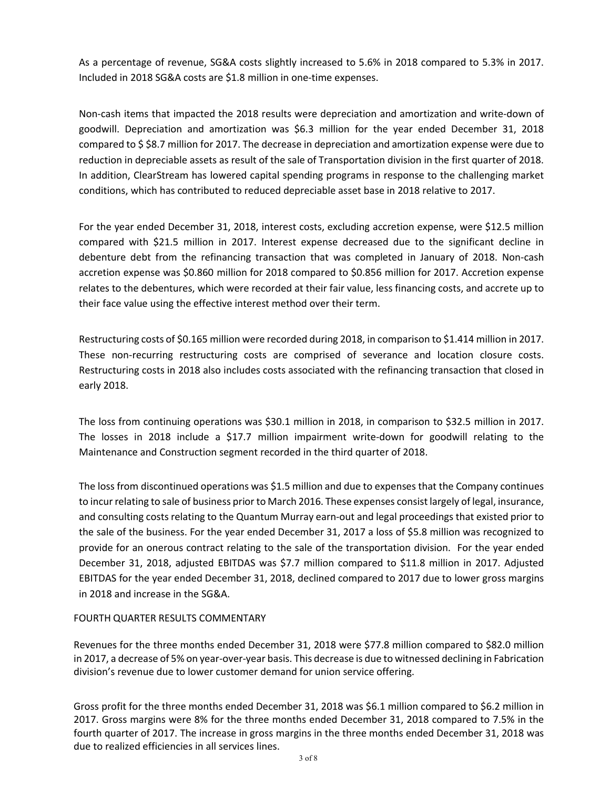As a percentage of revenue, SG&A costs slightly increased to 5.6% in 2018 compared to 5.3% in 2017. Included in 2018 SG&A costs are \$1.8 million in one-time expenses.

Non-cash items that impacted the 2018 results were depreciation and amortization and write-down of goodwill. Depreciation and amortization was \$6.3 million for the year ended December 31, 2018 compared to \$ \$8.7 million for 2017. The decrease in depreciation and amortization expense were due to reduction in depreciable assets as result of the sale of Transportation division in the first quarter of 2018. In addition, ClearStream has lowered capital spending programs in response to the challenging market conditions, which has contributed to reduced depreciable asset base in 2018 relative to 2017.

For the year ended December 31, 2018, interest costs, excluding accretion expense, were \$12.5 million compared with \$21.5 million in 2017. Interest expense decreased due to the significant decline in debenture debt from the refinancing transaction that was completed in January of 2018. Non-cash accretion expense was \$0.860 million for 2018 compared to \$0.856 million for 2017. Accretion expense relates to the debentures, which were recorded at their fair value, less financing costs, and accrete up to their face value using the effective interest method over their term.

Restructuring costs of \$0.165 million were recorded during 2018, in comparison to \$1.414 million in 2017. These non-recurring restructuring costs are comprised of severance and location closure costs. Restructuring costs in 2018 also includes costs associated with the refinancing transaction that closed in early 2018.

The loss from continuing operations was \$30.1 million in 2018, in comparison to \$32.5 million in 2017. The losses in 2018 include a \$17.7 million impairment write-down for goodwill relating to the Maintenance and Construction segment recorded in the third quarter of 2018.

The loss from discontinued operations was \$1.5 million and due to expenses that the Company continues to incur relating to sale of business prior to March 2016. These expenses consist largely of legal, insurance, and consulting costs relating to the Quantum Murray earn-out and legal proceedings that existed prior to the sale of the business. For the year ended December 31, 2017 a loss of \$5.8 million was recognized to provide for an onerous contract relating to the sale of the transportation division. For the year ended December 31, 2018, adjusted EBITDAS was \$7.7 million compared to \$11.8 million in 2017. Adjusted EBITDAS for the year ended December 31, 2018, declined compared to 2017 due to lower gross margins in 2018 and increase in the SG&A.

### FOURTH QUARTER RESULTS COMMENTARY

Revenues for the three months ended December 31, 2018 were \$77.8 million compared to \$82.0 million in 2017, a decrease of 5% on year-over-year basis. This decrease is due to witnessed declining in Fabrication division's revenue due to lower customer demand for union service offering.

Gross profit for the three months ended December 31, 2018 was \$6.1 million compared to \$6.2 million in 2017. Gross margins were 8% for the three months ended December 31, 2018 compared to 7.5% in the fourth quarter of 2017. The increase in gross margins in the three months ended December 31, 2018 was due to realized efficiencies in all services lines.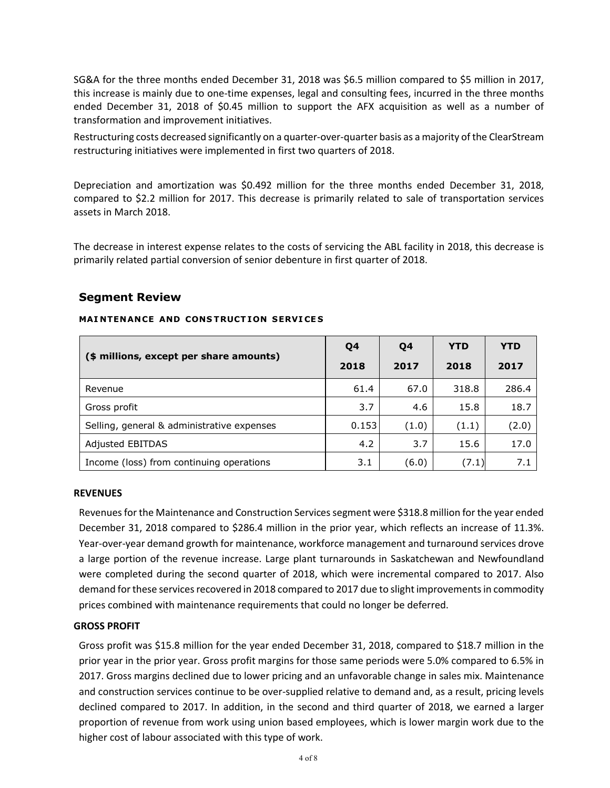SG&A for the three months ended December 31, 2018 was \$6.5 million compared to \$5 million in 2017, this increase is mainly due to one-time expenses, legal and consulting fees, incurred in the three months ended December 31, 2018 of \$0.45 million to support the AFX acquisition as well as a number of transformation and improvement initiatives.

Restructuring costs decreased significantly on a quarter-over-quarter basis as a majority of the ClearStream restructuring initiatives were implemented in first two quarters of 2018.

Depreciation and amortization was \$0.492 million for the three months ended December 31, 2018, compared to \$2.2 million for 2017. This decrease is primarily related to sale of transportation services assets in March 2018.

The decrease in interest expense relates to the costs of servicing the ABL facility in 2018, this decrease is primarily related partial conversion of senior debenture in first quarter of 2018.

## Segment Review

#### (\$ millions, except per share amounts) Q4 2018 Q4 2017 YTD 2018 YTD 2017 Revenue 61.4 67.0 318.8 286.4 Gross profit 3.7 4.6 15.8 18.7 Selling, general & administrative expenses  $\begin{bmatrix} 0.153 & 0.163 \end{bmatrix}$  (1.0) (1.1) (2.0) Adjusted EBITDAS 17.0 Income (loss) from continuing operations  $\begin{array}{|c|c|c|c|c|c|c|c|} \hline \end{array}$  3.1 (6.0)  $\begin{array}{|c|c|c|c|c|c|} \hline \end{array}$  7.1 7.1

#### MAINTENANCE AND CONSTRUCTION SERVICES

#### REVENUES

Revenues for the Maintenance and Construction Services segment were \$318.8 million for the year ended December 31, 2018 compared to \$286.4 million in the prior year, which reflects an increase of 11.3%. Year-over-year demand growth for maintenance, workforce management and turnaround services drove a large portion of the revenue increase. Large plant turnarounds in Saskatchewan and Newfoundland were completed during the second quarter of 2018, which were incremental compared to 2017. Also demand for these services recovered in 2018 compared to 2017 due to slight improvements in commodity prices combined with maintenance requirements that could no longer be deferred.

#### GROSS PROFIT

Gross profit was \$15.8 million for the year ended December 31, 2018, compared to \$18.7 million in the prior year in the prior year. Gross profit margins for those same periods were 5.0% compared to 6.5% in 2017. Gross margins declined due to lower pricing and an unfavorable change in sales mix. Maintenance and construction services continue to be over-supplied relative to demand and, as a result, pricing levels declined compared to 2017. In addition, in the second and third quarter of 2018, we earned a larger proportion of revenue from work using union based employees, which is lower margin work due to the higher cost of labour associated with this type of work.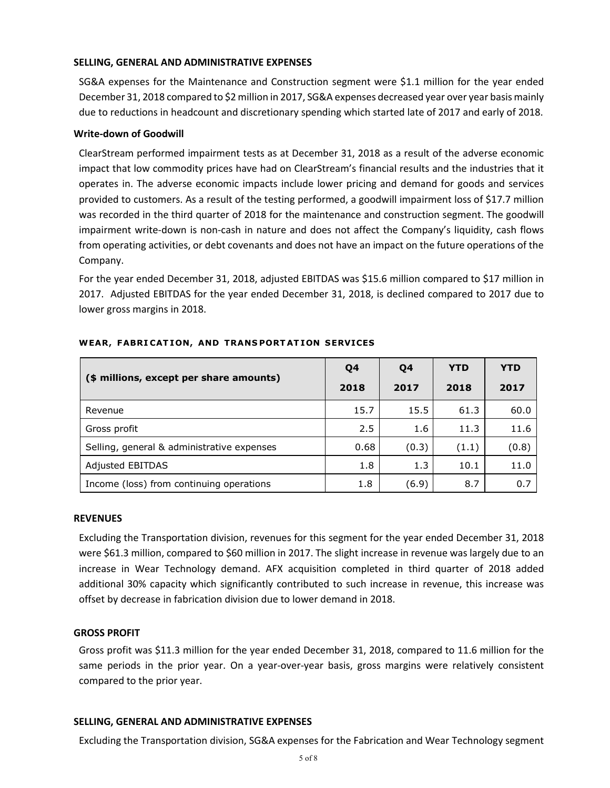#### SELLING, GENERAL AND ADMINISTRATIVE EXPENSES

SG&A expenses for the Maintenance and Construction segment were \$1.1 million for the year ended December 31, 2018 compared to \$2 million in 2017, SG&A expenses decreased year over year basis mainly due to reductions in headcount and discretionary spending which started late of 2017 and early of 2018.

#### Write-down of Goodwill

ClearStream performed impairment tests as at December 31, 2018 as a result of the adverse economic impact that low commodity prices have had on ClearStream's financial results and the industries that it operates in. The adverse economic impacts include lower pricing and demand for goods and services provided to customers. As a result of the testing performed, a goodwill impairment loss of \$17.7 million was recorded in the third quarter of 2018 for the maintenance and construction segment. The goodwill impairment write-down is non-cash in nature and does not affect the Company's liquidity, cash flows from operating activities, or debt covenants and does not have an impact on the future operations of the Company.

For the year ended December 31, 2018, adjusted EBITDAS was \$15.6 million compared to \$17 million in 2017. Adjusted EBITDAS for the year ended December 31, 2018, is declined compared to 2017 due to lower gross margins in 2018.

|                                            | Q4   | Q4    | <b>YTD</b> | <b>YTD</b> |
|--------------------------------------------|------|-------|------------|------------|
| (\$ millions, except per share amounts)    | 2018 | 2017  | 2018       | 2017       |
| Revenue                                    | 15.7 | 15.5  | 61.3       | 60.0       |
| Gross profit                               | 2.5  | 1.6   | 11.3       | 11.6       |
| Selling, general & administrative expenses | 0.68 | (0.3) | (1.1)      | (0.8)      |
| <b>Adjusted EBITDAS</b>                    | 1.8  | 1.3   | 10.1       | 11.0       |
| Income (loss) from continuing operations   | 1.8  | (6.9) | 8.7        | 0.7        |

#### WEAR, FABRICATION, AND TRANSPORTATION SERVICES

#### REVENUES

Excluding the Transportation division, revenues for this segment for the year ended December 31, 2018 were \$61.3 million, compared to \$60 million in 2017. The slight increase in revenue was largely due to an increase in Wear Technology demand. AFX acquisition completed in third quarter of 2018 added additional 30% capacity which significantly contributed to such increase in revenue, this increase was offset by decrease in fabrication division due to lower demand in 2018.

#### GROSS PROFIT

Gross profit was \$11.3 million for the year ended December 31, 2018, compared to 11.6 million for the same periods in the prior year. On a year-over-year basis, gross margins were relatively consistent compared to the prior year.

#### SELLING, GENERAL AND ADMINISTRATIVE EXPENSES

Excluding the Transportation division, SG&A expenses for the Fabrication and Wear Technology segment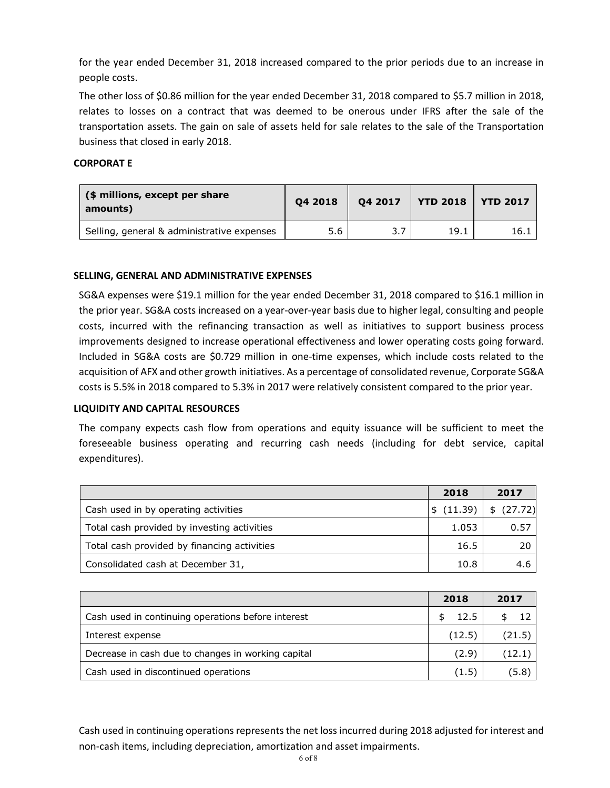for the year ended December 31, 2018 increased compared to the prior periods due to an increase in people costs.

The other loss of \$0.86 million for the year ended December 31, 2018 compared to \$5.7 million in 2018, relates to losses on a contract that was deemed to be onerous under IFRS after the sale of the transportation assets. The gain on sale of assets held for sale relates to the sale of the Transportation business that closed in early 2018.

### CORPORAT E

| (\$ millions, except per share<br>amounts) | 04 2018 | 04 2017 | <b>YTD 2018</b> | <b>YTD 2017</b> |
|--------------------------------------------|---------|---------|-----------------|-----------------|
| Selling, general & administrative expenses | 5.6     |         | 19.1            | 16.1            |

### SELLING, GENERAL AND ADMINISTRATIVE EXPENSES

SG&A expenses were \$19.1 million for the year ended December 31, 2018 compared to \$16.1 million in the prior year. SG&A costs increased on a year-over-year basis due to higher legal, consulting and people costs, incurred with the refinancing transaction as well as initiatives to support business process improvements designed to increase operational effectiveness and lower operating costs going forward. Included in SG&A costs are \$0.729 million in one-time expenses, which include costs related to the acquisition of AFX and other growth initiatives. As a percentage of consolidated revenue, Corporate SG&A costs is 5.5% in 2018 compared to 5.3% in 2017 were relatively consistent compared to the prior year.

#### LIQUIDITY AND CAPITAL RESOURCES

The company expects cash flow from operations and equity issuance will be sufficient to meet the foreseeable business operating and recurring cash needs (including for debt service, capital expenditures).

|                                             | 2018      | 2017    |
|---------------------------------------------|-----------|---------|
| Cash used in by operating activities        | \$(11.39) | (27.72) |
| Total cash provided by investing activities | 1.053     | 0.57    |
| Total cash provided by financing activities | 16.5      | 20      |
| Consolidated cash at December 31,           | 10.8      | 4.6     |

|                                                    | 2018   | 2017   |
|----------------------------------------------------|--------|--------|
| Cash used in continuing operations before interest | -12.5  |        |
| Interest expense                                   | (12.5) | (21.5) |
| Decrease in cash due to changes in working capital | (2.9)  | (12.1) |
| Cash used in discontinued operations               | (1.5)  | (5.8)  |

Cash used in continuing operations represents the net loss incurred during 2018 adjusted for interest and non-cash items, including depreciation, amortization and asset impairments.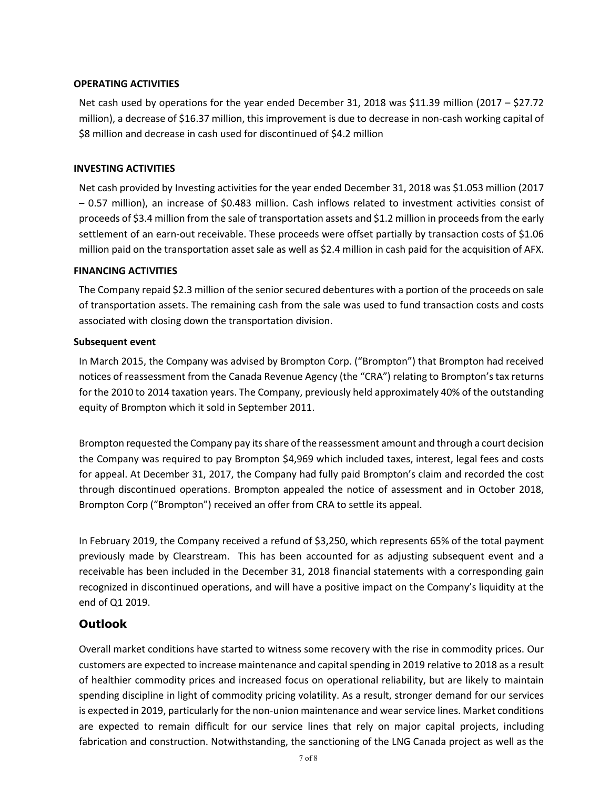### OPERATING ACTIVITIES

Net cash used by operations for the year ended December 31, 2018 was \$11.39 million (2017 – \$27.72 million), a decrease of \$16.37 million, this improvement is due to decrease in non-cash working capital of \$8 million and decrease in cash used for discontinued of \$4.2 million

#### INVESTING ACTIVITIES

Net cash provided by Investing activities for the year ended December 31, 2018 was \$1.053 million (2017 – 0.57 million), an increase of \$0.483 million. Cash inflows related to investment activities consist of proceeds of \$3.4 million from the sale of transportation assets and \$1.2 million in proceeds from the early settlement of an earn-out receivable. These proceeds were offset partially by transaction costs of \$1.06 million paid on the transportation asset sale as well as \$2.4 million in cash paid for the acquisition of AFX.

#### FINANCING ACTIVITIES

The Company repaid \$2.3 million of the senior secured debentures with a portion of the proceeds on sale of transportation assets. The remaining cash from the sale was used to fund transaction costs and costs associated with closing down the transportation division.

#### Subsequent event

In March 2015, the Company was advised by Brompton Corp. ("Brompton") that Brompton had received notices of reassessment from the Canada Revenue Agency (the "CRA") relating to Brompton's tax returns for the 2010 to 2014 taxation years. The Company, previously held approximately 40% of the outstanding equity of Brompton which it sold in September 2011.

Brompton requested the Company pay its share of the reassessment amount and through a court decision the Company was required to pay Brompton \$4,969 which included taxes, interest, legal fees and costs for appeal. At December 31, 2017, the Company had fully paid Brompton's claim and recorded the cost through discontinued operations. Brompton appealed the notice of assessment and in October 2018, Brompton Corp ("Brompton") received an offer from CRA to settle its appeal.

In February 2019, the Company received a refund of \$3,250, which represents 65% of the total payment previously made by Clearstream. This has been accounted for as adjusting subsequent event and a receivable has been included in the December 31, 2018 financial statements with a corresponding gain recognized in discontinued operations, and will have a positive impact on the Company's liquidity at the end of Q1 2019.

## Outlook

Overall market conditions have started to witness some recovery with the rise in commodity prices. Our customers are expected to increase maintenance and capital spending in 2019 relative to 2018 as a result of healthier commodity prices and increased focus on operational reliability, but are likely to maintain spending discipline in light of commodity pricing volatility. As a result, stronger demand for our services is expected in 2019, particularly for the non-union maintenance and wear service lines. Market conditions are expected to remain difficult for our service lines that rely on major capital projects, including fabrication and construction. Notwithstanding, the sanctioning of the LNG Canada project as well as the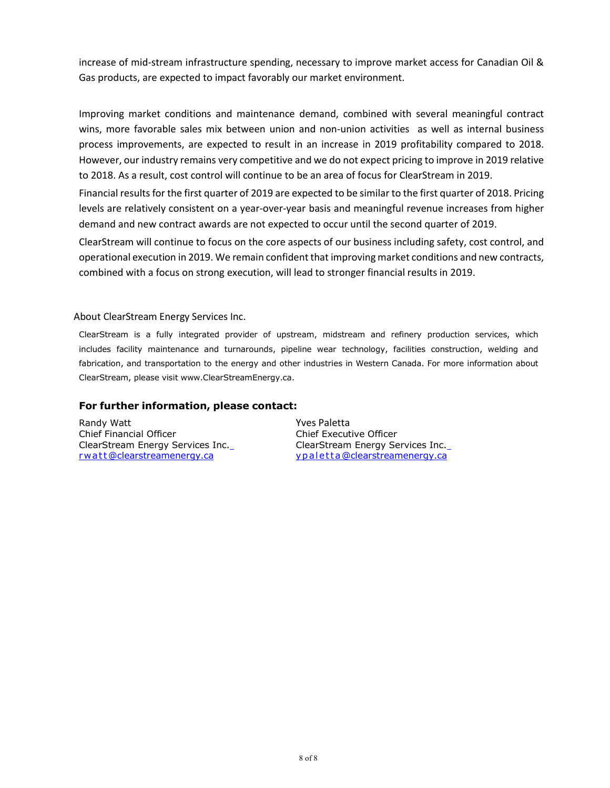increase of mid-stream infrastructure spending, necessary to improve market access for Canadian Oil & Gas products, are expected to impact favorably our market environment.

Improving market conditions and maintenance demand, combined with several meaningful contract wins, more favorable sales mix between union and non-union activities as well as internal business process improvements, are expected to result in an increase in 2019 profitability compared to 2018. However, our industry remains very competitive and we do not expect pricing to improve in 2019 relative to 2018. As a result, cost control will continue to be an area of focus for ClearStream in 2019.

Financial results for the first quarter of 2019 are expected to be similar to the first quarter of 2018. Pricing levels are relatively consistent on a year-over-year basis and meaningful revenue increases from higher demand and new contract awards are not expected to occur until the second quarter of 2019.

ClearStream will continue to focus on the core aspects of our business including safety, cost control, and operational execution in 2019. We remain confident that improving market conditions and new contracts, combined with a focus on strong execution, will lead to stronger financial results in 2019.

#### About ClearStream Energy Services Inc.

ClearStream is a fully integrated provider of upstream, midstream and refinery production services, which includes facility maintenance and turnarounds, pipeline wear technology, facilities construction, welding and fabrication, and transportation to the energy and other industries in Western Canada. For more information about ClearStream, please visit www.ClearStreamEnergy.ca.

### For further information, please contact:

Randy Watt Chief Financial Officer ClearStream Energy Services Inc. rwatt@clearstreamenergy.ca

Yves Paletta Chief Executive Officer ClearStream Energy Services Inc. y p a l et t a @clearstreamenergy.ca